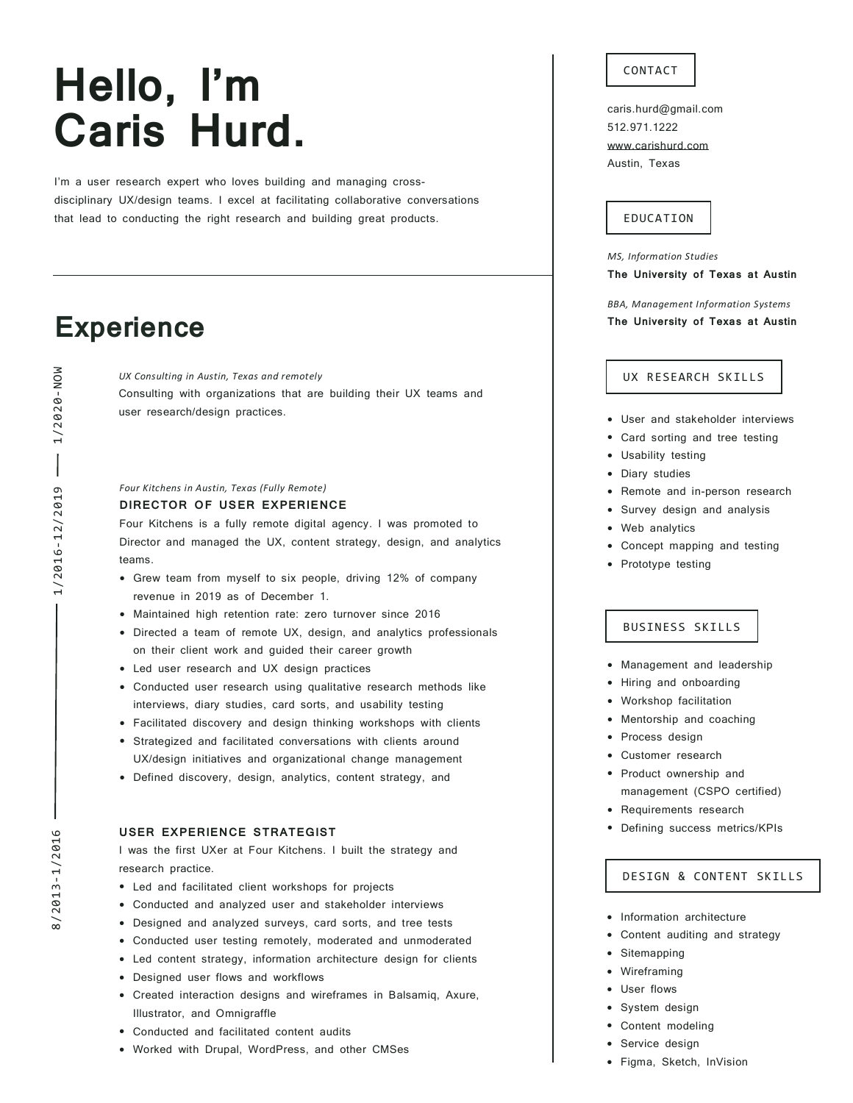# **Hello, I'm Caris Hurd.**

I'm a user research expert who loves building and managing crossdisciplinary UX/design teams. I excel at facilitating collaborative conversations that lead to conducting the right research and building great products.

# **Experience**

*UX Consulting in Austin, Texas and remotely* Consulting with organizations that are building their UX teams and user research/design practices.

#### *Four Kitchens in Austin, Texas (Fully Remote)*

#### **DIRECTOR OF USER EXPERIENCE**

Four Kitchens is a fully remote digital agency. I was promoted to Director and managed the UX, content strategy, design, and analytics teams.

- Grew team from myself to six people, driving 12% of company revenue in 2019 as of December 1.
- Maintained high retention rate: zero turnover since <sup>2016</sup>
- Directed <sup>a</sup> team of remote UX, design, and analytics professionals on their client work and guided their career growth
- Led user research and UX design practices
- Conducted user research using qualitative research methods like interviews, diary studies, card sorts, and usability testing
- Facilitated discovery and design thinking workshops with clients
- Strategized and facilitated conversations with clients around UX/design initiatives and organizational change management
- Defined discovery, design, analytics, content strategy, and

#### **USER EXPERIENCE STRATEGIST**

I was the first UXer at Four Kitchens. I built the strategy and research practice.

- Led and facilitated client workshops for projects
- Conducted and analyzed user and stakeholder interviews
- Designed and analyzed surveys, card sorts, and tree tests
- Conducted user testing remotely, moderated and unmoderated
- Led content strategy, information architecture design for clients
- Designed user flows and workflows
- Created interaction designs and wireframes in Balsamiq, Axure, Illustrator, and Omnigraffle
- Conducted and facilitated content audits
- Worked with Drupal, WordPress, and other CMSes

#### CONTACT

caris.hurd@gmail.com 512.971.1222 [www.carishurd.com](http://www.carishurd.com/) Austin, Texas

#### EDUCATION

*MS, Information Studies* **The University of Texas at Austin**

*BBA, Management Information Systems* **The University of Texas at Austin**

#### UX RESEARCH SKILLS

- User and stakeholder interviews
- Card sorting and tree testing
- Usability testing
- Diary studies
- Remote and in-person research
- Survey design and analysis
- Web analytics
- Concept mapping and testing
- Prototype testing

#### BUSINESS SKILLS

- Management and leadership
- Hiring and onboarding
- Workshop facilitation
- Mentorship and coaching
- Process design
- Customer research
- Product ownership and management (CSPO certified)
- Requirements research
- Defining success metrics/KPIs

### DESIGN & CONTENT SKILLS

- Information architecture
- Content auditing and strategy
- **Sitemapping**
- **Wireframing**
- User flows
- System design
- Content modeling
- Service design
- Figma, Sketch, InVision

8/2013-1/2016 8/2013-1/2016